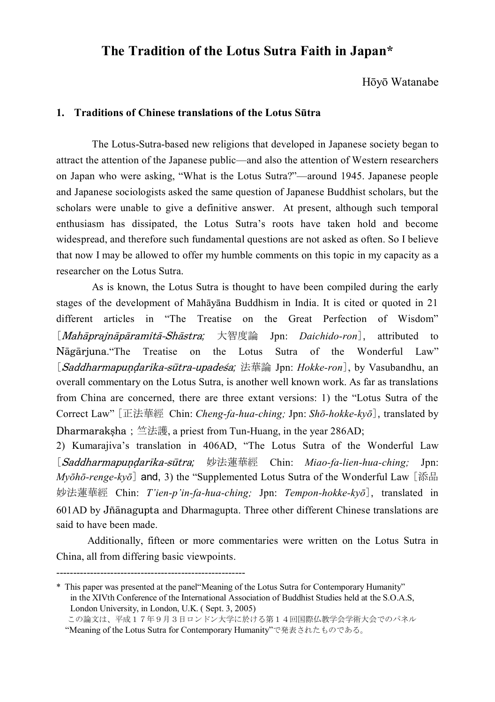# **The Tradition of the Lotus Sutra Faith in Japan\***

Hōyō Watanabe

# **1. Traditions of Chinese translations of the Lotus Sūtra**

 The Lotus-Sutra-based new religions that developed in Japanese society began to attract the attention of the Japanese public—and also the attention of Western researchers on Japan who were asking, "What is the Lotus Sutra?"—around 1945. Japanese people and Japanese sociologists asked the same question of Japanese Buddhist scholars, but the scholars were unable to give a definitive answer. At present, although such temporal enthusiasm has dissipated, the Lotus Sutra's roots have taken hold and become widespread, and therefore such fundamental questions are not asked as often. So I believe that now I may be allowed to offer my humble comments on this topic in my capacity as a researcher on the Lotus Sutra.

 As is known, the Lotus Sutra is thought to have been compiled during the early stages of the development of Mahāyāna Buddhism in India. It is cited or quoted in 21 different articles in "The Treatise on the Great Perfection of Wisdom" [*Mahāprajnāpāramitā-Shāstra*; 大智度論 Jpn: *Daichido-ron*], attributed to Nagariuna. The Treatise on the Lotus Sutra of the Wonderful Law" [*Saddharmapundarika-sūtra-upadeśa*; 法華論 Jpn: *Hokke-ron*], by Vasubandhu, an overall commentary on the Lotus Sutra, is another well known work. As far as translations from China are concerned, there are three extant versions: 1) the "Lotus Sutra of the Correct Law" [正法華經 Chin: *Cheng-fa-hua-ching*; Jpn: *Shō-hokke-kyō*], translated by Dharmaraksha; 竺法護, a priest from Tun-Huang, in the year 286AD;

2) Kumarajiva's translation in 406AD, "The Lotus Sutra of the Wonderful Law [SaddharmapuNDarIka-sUtra*;* 妙 滕 蓮 華 經 Chin: *Miao-fa-lien-hua-ching;* Jpn: *Myōhō-renge-kyō*] and, 3) the "Supplemented Lotus Sutra of the Wonderful Law [添 品 妙 滕 蓮 華 經 Chin: *T'ien-p'in-fa-hua-ching;* Jpn: *Tempon-hokke-kyō*], translated in 601AD by Jñānagupta and Dharmagupta. Three other different Chinese translations are said to have been made.

Additionally, fifteen or more commentaries were written on the Lotus Sutra in China, all from differing basic viewpoints.

<sup>--------------------------------------------------------</sup>

<sup>\*</sup> This paper was presented at the panel"Meaning of the Lotus Sutra for Contemporary Humanity" in the XIVth Conference of the International Association of Buddhist Studies held at the S.O.A.S, London University, in London, U.K. ( Sept. 3, 2005)

この論文は、平成17年9月3日ロンドン大学に於ける第14回国際仏教学会学術大会でのパネル "Meaning of the Lotus Sutra for Contemporary Humanity"で発表されたものである。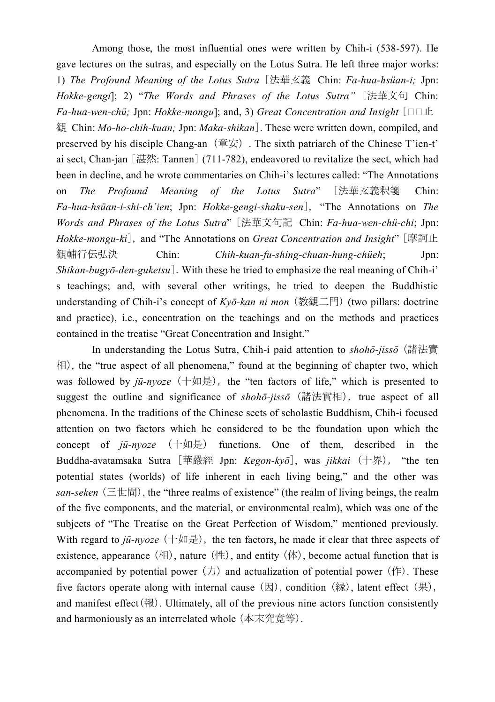Among those, the most influential ones were written by Chih-i (538-597). He gave lectures on the sutras, and especially on the Lotus Sutra. He left three major works: 1) *The Profound Meaning of the Lotus Sutra* [滕 華 玄 義 Chin: *Fa-hua-hsüan-i;* Jpn: *Hokke-gengi*]; 2) "*The Words and Phrases of the Lotus Sutra*" [法華文句 Chin: *Fa-hua-wen-chü;* Jpn: *Hokke-mongu*]; and, 3) *Great Concentration and Insight*  $\Box$  $\Box$   $\bot$ 観 Chin: *Mo-ho-chih-kuan;* Jpn: *Maka-shikan*]. These were written down, compiled, and preserved by his disciple Chang-an  $(\hat{\mathbb{F}}\hat{\mathcal{F}})$ . The sixth patriarch of the Chinese T'ien-t' ai sect, Chan-jan [湛然: Tannen] (711-782), endeavored to revitalize the sect, which had been in decline, and he wrote commentaries on Chih-i's lectures called: "The Annotations on *The Profound Meaning of the Lotus Sutra*" [法華玄義釈箋 Chin: *Fa-hua-hsüan-i-shi-ch'ien*; Jpn: *Hokke-gengi-shaku-sen*], "The Annotations on *The Words and Phrases of the Lotus Sutra*" [滕 華 文 句 記 Chin: *Fa-hua-wen-chü-chi*; Jpn: *Hokke-mongu-ki*], and "The Annotations on *Great Concentration and Insight*" [摩訶止 観 輔 行 伝 弘 湺 Chin: *Chih-kuan-fu-shing-chuan-hung-chüeh*; Jpn: *Shikan-bugyō-den-guketsu*]. With these he tried to emphasize the real meaning of Chih-i' s teachings; and, with several other writings, he tried to deepen the Buddhistic understanding of Chih-i's concept of *Kyō-kan ni mon* (教観二門) (two pillars: doctrine and practice), i.e., concentration on the teachings and on the methods and practices contained in the treatise "Great Concentration and Insight."

In understanding the Lotus Sutra, Chih-i paid attention to *shohō-jissō* (諸 滕 實 相 )*,* the "true aspect of all phenomena," found at the beginning of chapter two, which was followed by  $i\bar{u}$ -nyoze  $(+\text{in} \frac{1}{2})$ , the "ten factors of life," which is presented to suggest the outline and significance of *shohō-jissō* (諸法實相), true aspect of all phenomena. In the traditions of the Chinese sects of scholastic Buddhism, Chih-i focused attention on two factors which he considered to be the foundation upon which the concept of  $ji\text{-}nyoze$  ( $+\text{1/2}$ ) functions. One of them, described in the Buddha-avatamsaka Sutra [華嚴經 Jpn: *Kegon-kyō*], was *jikkai* (十界), "the ten potential states (worlds) of life inherent in each living being," and the other was  $san\text{-}seken$  (三世間), the "three realms of existence" (the realm of living beings, the realm of the five components, and the material, or environmental realm), which was one of the subjects of "The Treatise on the Great Perfection of Wisdom," mentioned previously. With regard to  $ji\text{-}nyoze$  ( $+\text{1/2}$ ), the ten factors, he made it clear that three aspects of existence, appearance (相), nature (性), and entity (体), become actual function that is accompanied by potential power  $(\pi)$  and actualization of potential power ( $(\n\models)$ ). These five factors operate along with internal cause  $(\boxtimes)$ , condition  $(\mathbb{R})$ , latent effect  $(\mathbb{R})$ , and manifest effect  $(\nexists \mathbb{R})$ . Ultimately, all of the previous nine actors function consistently and harmoniously as an interrelated whole  $(\text{#} \# \text{#} \# \text{#})$ .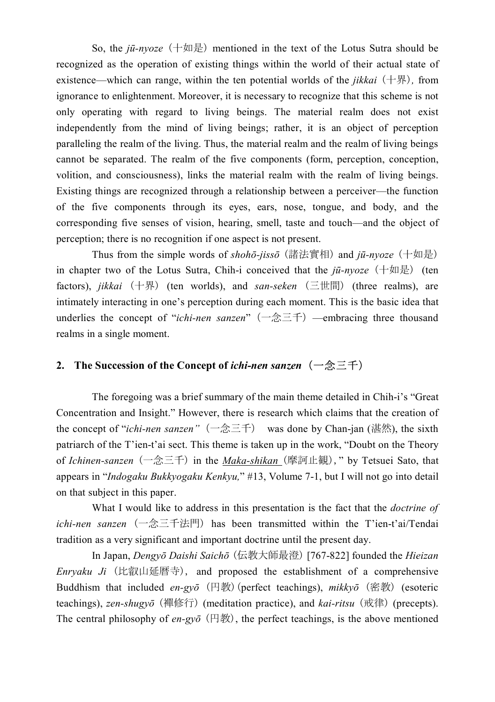So, the  $\tilde{\mu}$ -nyoze ( $+\pi$ ) mentioned in the text of the Lotus Sutra should be recognized as the operation of existing things within the world of their actual state of existence—which can range, within the ten potential worlds of the *jikkai* (十界), from ignorance to enlightenment. Moreover, it is necessary to recognize that this scheme is not only operating with regard to living beings. The material realm does not exist independently from the mind of living beings; rather, it is an object of perception paralleling the realm of the living. Thus, the material realm and the realm of living beings cannot be separated. The realm of the five components (form, perception, conception, volition, and consciousness), links the material realm with the realm of living beings. Existing things are recognized through a relationship between a perceiver—the function of the five components through its eyes, ears, nose, tongue, and body, and the corresponding five senses of vision, hearing, smell, taste and touch—and the object of perception; there is no recognition if one aspect is not present.

Thus from the simple words of *shohō-jissō* (諸法實相) and *jū-nyoze* (十如是) in chapter two of the Lotus Sutra, Chih-i conceived that the  $ji\text{-}n\text{-}voze$  ( $+\text{1/2}$ ) (ten factors), *jikkai* (十界) (ten worlds), and *san-seken* (三世間) (three realms), are intimately interacting in one's perception during each moment. This is the basic idea that underlies the concept of "*ichi-nen sanzen*" (一念三千) —embracing three thousand realms in a single moment.

## **2. The Succession of the Concept of** *ichi-nen sanzen*( 一 念 三 千 )

 The foregoing was a brief summary of the main theme detailed in Chih-i's "Great Concentration and Insight." However, there is research which claims that the creation of the concept of "*ichi-nen sanzen"* (一念三千) was done by Chan-jan (湛然), the sixth patriarch of the T'ien-t'ai sect. This theme is taken up in the work, "Doubt on the Theory of *Ichinen-sanzen* (一念三千) in the *Maka-shikan* (摩訶止観)," by Tetsuei Sato, that appears in "*Indogaku Bukkyogaku Kenkyu,*" #13, Volume 7-1, but I will not go into detail on that subject in this paper.

 What I would like to address in this presentation is the fact that the *doctrine of* ichi-nen sanzen (一念三千法門) has been transmitted within the T'ien-t'ai/Tendai tradition as a very significant and important doctrine until the present day.

 In Japan, *Dengyō Daishi Saichō* (伝 教 大 師 最 澄 ) [767-822] founded the *Hieizan Enryaku Ji* (比叡山延暦寺), and proposed the establishment of a comprehensive Buddhism that included  $en-gv\bar{o}$  (円教) (perfect teachings),  $mikkv\bar{o}$  (密教) (esoteric teachings), *zen-shugyō* (襌修行) (meditation practice), and *kai-ritsu* (戒律) (precepts). The central philosophy of  $en-gy\bar{o}$  (円教), the perfect teachings, is the above mentioned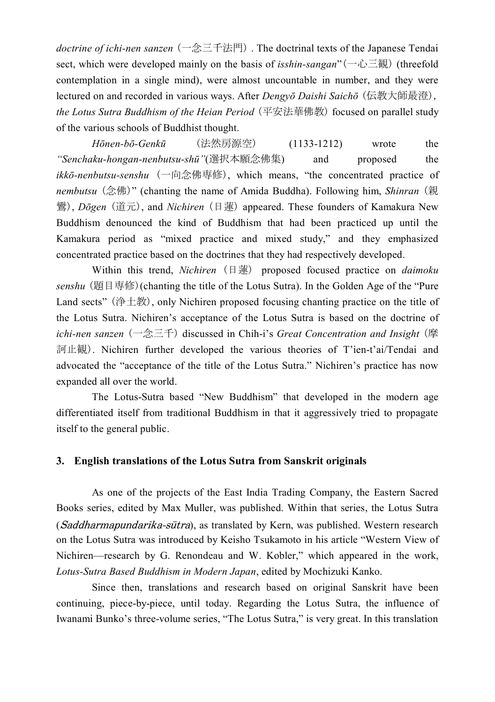doctrine of *ichi-nen sanzen* (一念三千法門). The doctrinal texts of the Japanese Tendai sect, which were developed mainly on the basis of *isshin-sangan*" (一心三観) (threefold contemplation in a single mind), were almost uncountable in number, and they were lectured on and recorded in various ways. After *Dengyō Daishi Saichō* (伝教大師最澄), *the Lotus Sutra Buddhism of the Heian Period* (平安法華佛教) focused on parallel study of the various schools of Buddhist thought.

Hōnen-bō-Genkū (法然房源空) (1133-1212) wrote the "Senchaku-hongan-nenbutsu-shū"(選択本願念佛集) and proposed the *ikkō-nenbutsu-senshu* (一向念佛專修), which means, "the concentrated practice of *nembutsu* (念 佛 )" (chanting the name of Amida Buddha). Following him, *Shinran* (親 鸞 ), *Dōgen* (道 元 ), and *Nichiren* (日 蓮 ) appeared. These founders of Kamakura New Buddhism denounced the kind of Buddhism that had been practiced up until the Kamakura period as "mixed practice and mixed study," and they emphasized concentrated practice based on the doctrines that they had respectively developed.

Within this trend, *Nichiren* (日蓮) proposed focused practice on *daimoku senshu* (題 目 市 修 )(chanting the title of the Lotus Sutra). In the Golden Age of the "Pure Land sects"  $(\frac{4}{7}, \frac{1}{6}, \frac{1}{6})$ , only Nichiren proposed focusing chanting practice on the title of the Lotus Sutra. Nichiren's acceptance of the Lotus Sutra is based on the doctrine of *ichi-nen sanzen* (一 念 三 千 ) discussed in Chih-i's *Great Concentration and Insight* (摩 訶 止 観 ). Nichiren further developed the various theories of T'ien-t'ai/Tendai and advocated the "acceptance of the title of the Lotus Sutra." Nichiren's practice has now expanded all over the world.

The Lotus-Sutra based "New Buddhism" that developed in the modern age differentiated itself from traditional Buddhism in that it aggressively tried to propagate itself to the general public.

### **3. English translations of the Lotus Sutra from Sanskrit originals**

 As one of the projects of the East India Trading Company, the Eastern Sacred Books series, edited by Max Muller, was published. Within that series, the Lotus Sutra  $(Saddharmapundarika-sūtra)$ , as translated by Kern, was published. Western research on the Lotus Sutra was introduced by Keisho Tsukamoto in his article "Western View of Nichiren—research by G. Renondeau and W. Kobler," which appeared in the work, *Lotus-Sutra Based Buddhism in Modern Japan*, edited by Mochizuki Kanko.

Since then, translations and research based on original Sanskrit have been continuing, piece-by-piece, until today. Regarding the Lotus Sutra, the influence of Iwanami Bunko's three-volume series, "The Lotus Sutra," is very great. In this translation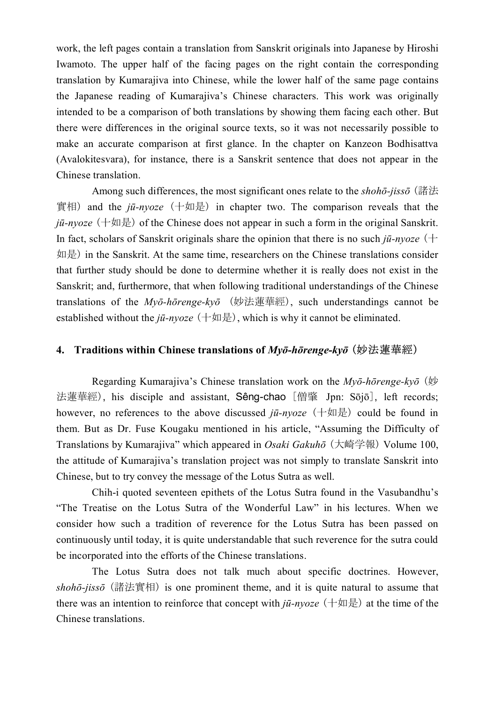work, the left pages contain a translation from Sanskrit originals into Japanese by Hiroshi Iwamoto. The upper half of the facing pages on the right contain the corresponding translation by Kumarajiva into Chinese, while the lower half of the same page contains the Japanese reading of Kumarajiva's Chinese characters. This work was originally intended to be a comparison of both translations by showing them facing each other. But there were differences in the original source texts, so it was not necessarily possible to make an accurate comparison at first glance. In the chapter on Kanzeon Bodhisattva (Avalokitesvara), for instance, there is a Sanskrit sentence that does not appear in the Chinese translation.

Among such differences, the most significant ones relate to the *shohō-jissō* (諸 滕  $[$ 實相) and the  $j\bar{u}$ -nyoze ( $+$ 如是) in chapter two. The comparison reveals that the  $ji\bar{i}$ -*nyoze* ( $\pm \pi$ ) of the Chinese does not appear in such a form in the original Sanskrit. In fact, scholars of Sanskrit originals share the opinion that there is no such *jū-nyoze* (十  $\mu$ 是) in the Sanskrit. At the same time, researchers on the Chinese translations consider that further study should be done to determine whether it is really does not exist in the Sanskrit; and, furthermore, that when following traditional understandings of the Chinese translations of the *Myō-hōrenge-kyō* (妙法蓮華經), such understandings cannot be established without the  $ji\bar{i}$ -*nyoze* (十如是), which is why it cannot be eliminated.

### **4. Traditions within Chinese translations of** *Myō-hōrenge-kyō* (妙 滕 蓮 華 經 )

 Regarding Kumarajiva's Chinese translation work on the *Myō-hōrenge-kyō* (妙 法蓮華經), his disciple and assistant, Sêng-chao [僧肇 Jpn: Sōjō], left records; however, no references to the above discussed  $j\bar{u}$ -*nyoze* ( $+\pi$ ) could be found in them. But as Dr. Fuse Kougaku mentioned in his article, "Assuming the Difficulty of Translations by Kumarajiva" which appeared in *Osaki Gakuhō* (大崎学報) Volume 100, the attitude of Kumarajiva's translation project was not simply to translate Sanskrit into Chinese, but to try convey the message of the Lotus Sutra as well.

Chih-i quoted seventeen epithets of the Lotus Sutra found in the Vasubandhu's "The Treatise on the Lotus Sutra of the Wonderful Law" in his lectures. When we consider how such a tradition of reverence for the Lotus Sutra has been passed on continuously until today, it is quite understandable that such reverence for the sutra could be incorporated into the efforts of the Chinese translations.

The Lotus Sutra does not talk much about specific doctrines. However,  $shoho-ijiss\vec{\sigma}$  (諸法實相) is one prominent theme, and it is quite natural to assume that there was an intention to reinforce that concept with  $j\bar{u}$ -*nyoze* (十如是) at the time of the Chinese translations.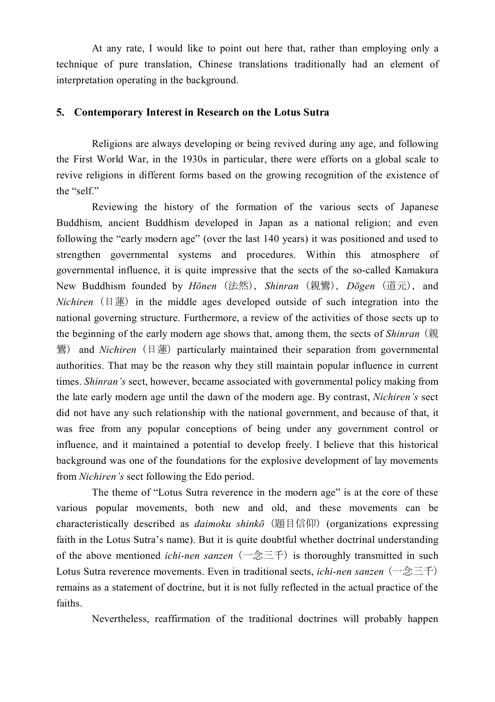At any rate, I would like to point out here that, rather than employing only a technique of pure translation, Chinese translations traditionally had an element of interpretation operating in the background.

#### **5. Contemporary Interest in Research on the Lotus Sutra**

Religions are always developing or being revived during any age, and following the First World War, in the 1930s in particular, there were efforts on a global scale to revive religions in different forms based on the growing recognition of the existence of the "self."

Reviewing the history of the formation of the various sects of Japanese Buddhism, ancient Buddhism developed in Japan as a national religion; and even following the "early modern age" (over the last 140 years) it was positioned and used to strengthen governmental systems and procedures. Within this atmosphere of governmental influence, it is quite impressive that the sects of the so-called Kamakura New Buddhism founded by *Hōnen* (滕 然 ), *Shinran* (親 鸞 ), *Dōgen* (道 元 ), and *Nichiren* (日蓮) in the middle ages developed outside of such integration into the national governing structure. Furthermore, a review of the activities of those sects up to the beginning of the early modern age shows that, among them, the sects of *Shinran* (親 <sup>(</sup>) and *Nichiren* (日蓮) particularly maintained their separation from governmental authorities. That may be the reason why they still maintain popular influence in current times. *Shinran's* sect, however, became associated with governmental policy making from the late early modern age until the dawn of the modern age. By contrast, *Nichiren's* sect did not have any such relationship with the national government, and because of that, it was free from any popular conceptions of being under any government control or influence, and it maintained a potential to develop freely. I believe that this historical background was one of the foundations for the explosive development of lay movements from *Nichiren's* sect following the Edo period.

The theme of "Lotus Sutra reverence in the modern age" is at the core of these various popular movements, both new and old, and these movements can be characteristically described as *daimoku shinkō* (題目信仰) (organizations expressing faith in the Lotus Sutra's name). But it is quite doubtful whether doctrinal understanding of the above mentioned *ichi-nen sanzen* (一念三千) is thoroughly transmitted in such Lotus Sutra reverence movements. Even in traditional sects, *ichi-nen sanzen* (一念三千) remains as a statement of doctrine, but it is not fully reflected in the actual practice of the faiths.

Nevertheless, reaffirmation of the traditional doctrines will probably happen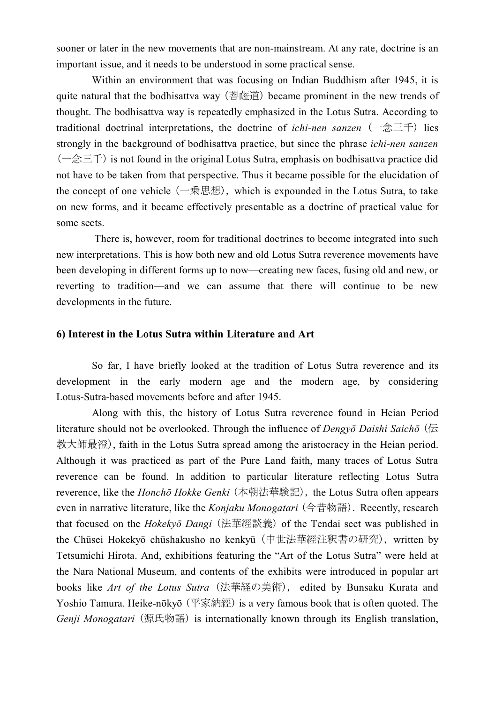sooner or later in the new movements that are non-mainstream. At any rate, doctrine is an important issue, and it needs to be understood in some practical sense.

Within an environment that was focusing on Indian Buddhism after 1945, it is quite natural that the bodhisattva way (菩薩道) became prominent in the new trends of thought. The bodhisattva way is repeatedly emphasized in the Lotus Sutra. According to traditional doctrinal interpretations, the doctrine of *ichi-nen sanzen* (一念三千) lies strongly in the background of bodhisattva practice, but since the phrase *ichi-nen sanzen*  $(-$ 念三千) is not found in the original Lotus Sutra, emphasis on bodhisattva practice did not have to be taken from that perspective. Thus it became possible for the elucidation of the concept of one vehicle  $(-\text{)}\mathbb{R}$  思想, which is expounded in the Lotus Sutra, to take on new forms, and it became effectively presentable as a doctrine of practical value for some sects.

 There is, however, room for traditional doctrines to become integrated into such new interpretations. This is how both new and old Lotus Sutra reverence movements have been developing in different forms up to now—creating new faces, fusing old and new, or reverting to tradition—and we can assume that there will continue to be new developments in the future.

#### **6) Interest in the Lotus Sutra within Literature and Art**

So far, I have briefly looked at the tradition of Lotus Sutra reverence and its development in the early modern age and the modern age, by considering Lotus-Sutra-based movements before and after 1945.

 Along with this, the history of Lotus Sutra reverence found in Heian Period literature should not be overlooked. Through the influence of *Dengyō Daishi Saichō* (伝 教大師最澄), faith in the Lotus Sutra spread among the aristocracy in the Heian period. Although it was practiced as part of the Pure Land faith, many traces of Lotus Sutra reverence can be found. In addition to particular literature reflecting Lotus Sutra reverence, like the *Honchō Hokke Genki* (本朝法華験記), the Lotus Sutra often appears even in narrative literature, like the *Konjaku Monogatari* (今昔物語). Recently, research that focused on the *Hokekyō Dangi* (法華經談義) of the Tendai sect was published in the Chūsei Hokekyō chūshakusho no kenkyū (中世法華經注釈書の研究), written by Tetsumichi Hirota. And, exhibitions featuring the "Art of the Lotus Sutra" were held at the Nara National Museum, and contents of the exhibits were introduced in popular art books like *Art of the Lotus Sutra* (法華経の美術), edited by Bunsaku Kurata and Yoshio Tamura. Heike-nōkyō (平家納經) is a very famous book that is often quoted. The *Genji Monogatari* (源氏物語) is internationally known through its English translation,